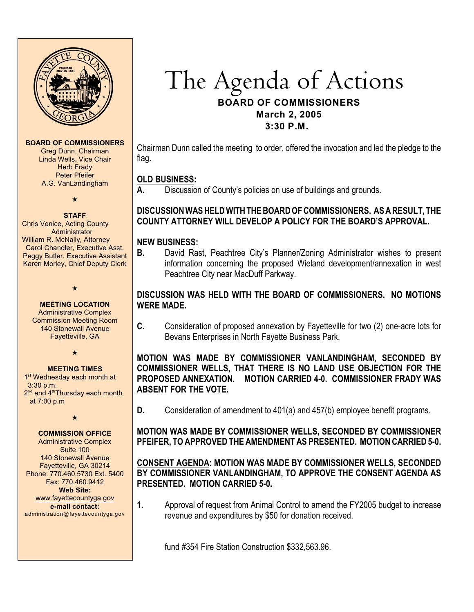

**BOARD OF COMMISSIONERS**

Greg Dunn, Chairman Linda Wells, Vice Chair Herb Frady Peter Pfeifer A.G. VanLandingham

# $\star$ **STAFF**

Chris Venice, Acting County Administrator William R. McNally, Attorney Carol Chandler, Executive Asst. Peggy Butler, Executive Assistant Karen Morley, Chief Deputy Clerk

> **MEETING LOCATION** Administrative Complex Commission Meeting Room 140 Stonewall Avenue Fayetteville, GA

 $\ddotmark$ 

 $\star$ 

**MEETING TIMES** 1<sup>st</sup> Wednesday each month at 3:30 p.m.  $2<sup>nd</sup>$  and  $4<sup>th</sup>$ Thursday each month at 7:00 p.m

 $\star$ 

## **COMMISSION OFFICE**

Administrative Complex Suite 100 140 Stonewall Avenue Fayetteville, GA 30214 Phone: 770.460.5730 Ext. 5400 Fax: 770.460.9412 **Web Site:** [www.fayettecountyga.gov](http://www.admin.co.fayette.ga.us) **e-mail contact:**

administration@fayettecountyga.gov

# The Agenda *of Actions* **BOARD OF COMMISSIONERS March 2, 2005 3:30 P.M.**

Chairman Dunn called the meeting to order, offered the invocation and led the pledge to the flag.

#### **OLD BUSINESS:**

**A.** Discussion of County's policies on use of buildings and grounds.

## **DISCUSSION WAS HELD WITH THE BOARD OF COMMISSIONERS. AS A RESULT, THE COUNTY ATTORNEY WILL DEVELOP A POLICY FOR THE BOARD'S APPROVAL.**

#### **NEW BUSINESS:**

**B.** David Rast, Peachtree City's Planner/Zoning Administrator wishes to present information concerning the proposed Wieland development/annexation in west Peachtree City near MacDuff Parkway.

## **DISCUSSION WAS HELD WITH THE BOARD OF COMMISSIONERS. NO MOTIONS WERE MADE.**

**C.** Consideration of proposed annexation by Fayetteville for two (2) one-acre lots for Bevans Enterprises in North Fayette Business Park.

**MOTION WAS MADE BY COMMISSIONER VANLANDINGHAM, SECONDED BY COMMISSIONER WELLS, THAT THERE IS NO LAND USE OBJECTION FOR THE PROPOSED ANNEXATION. MOTION CARRIED 4-0. COMMISSIONER FRADY WAS ABSENT FOR THE VOTE.**

**D.** Consideration of amendment to 401(a) and 457(b) employee benefit programs.

**MOTION WAS MADE BY COMMISSIONER WELLS, SECONDED BY COMMISSIONER PFEIFER, TO APPROVED THE AMENDMENT AS PRESENTED. MOTION CARRIED 5-0.**

#### **CONSENT AGENDA: MOTION WAS MADE BY COMMISSIONER WELLS, SECONDED BY COMMISSIONER VANLANDINGHAM, TO APPROVE THE CONSENT AGENDA AS PRESENTED. MOTION CARRIED 5-0.**

**1.** Approval of request from Animal Control to amend the FY2005 budget to increase revenue and expenditures by \$50 for donation received.

fund #354 Fire Station Construction \$332,563.96.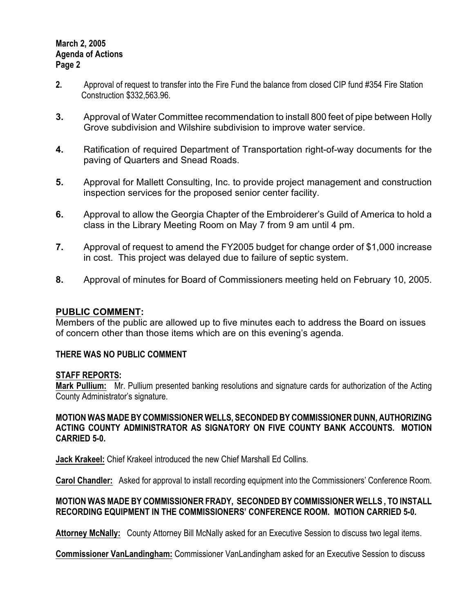#### **March 2, 2005 Agenda of Actions Page 2**

- **2.** Approval of request to transfer into the Fire Fund the balance from closed CIP fund #354 Fire Station Construction \$332,563.96.
- **3.** Approval of Water Committee recommendation to install 800 feet of pipe between Holly Grove subdivision and Wilshire subdivision to improve water service.
- **4.** Ratification of required Department of Transportation right-of-way documents for the paving of Quarters and Snead Roads.
- **5.** Approval for Mallett Consulting, Inc. to provide project management and construction inspection services for the proposed senior center facility.
- **6.** Approval to allow the Georgia Chapter of the Embroiderer's Guild of America to hold a class in the Library Meeting Room on May 7 from 9 am until 4 pm.
- **7.** Approval of request to amend the FY2005 budget for change order of \$1,000 increase in cost. This project was delayed due to failure of septic system.
- **8.** Approval of minutes for Board of Commissioners meeting held on February 10, 2005.

## **PUBLIC COMMENT:**

Members of the public are allowed up to five minutes each to address the Board on issues of concern other than those items which are on this evening's agenda.

## **THERE WAS NO PUBLIC COMMENT**

#### **STAFF REPORTS:**

**Mark Pullium:** Mr. Pullium presented banking resolutions and signature cards for authorization of the Acting County Administrator's signature.

#### **MOTION WAS MADE BY COMMISSIONER WELLS, SECONDED BY COMMISSIONER DUNN, AUTHORIZING ACTING COUNTY ADMINISTRATOR AS SIGNATORY ON FIVE COUNTY BANK ACCOUNTS. MOTION CARRIED 5-0.**

**Jack Krakeel:** Chief Krakeel introduced the new Chief Marshall Ed Collins.

**Carol Chandler:** Asked for approval to install recording equipment into the Commissioners' Conference Room.

## **MOTION WAS MADE BY COMMISSIONER FRADY, SECONDED BY COMMISSIONER WELLS , TO INSTALL RECORDING EQUIPMENT IN THE COMMISSIONERS' CONFERENCE ROOM. MOTION CARRIED 5-0.**

**Attorney McNally:** County Attorney Bill McNally asked for an Executive Session to discuss two legal items.

**Commissioner VanLandingham:** Commissioner VanLandingham asked for an Executive Session to discuss